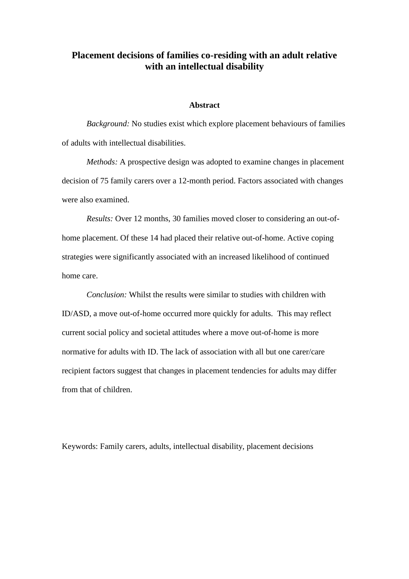# **Placement decisions of families co-residing with an adult relative with an intellectual disability**

#### **Abstract**

*Background:* No studies exist which explore placement behaviours of families of adults with intellectual disabilities.

*Methods:* A prospective design was adopted to examine changes in placement decision of 75 family carers over a 12-month period. Factors associated with changes were also examined.

*Results:* Over 12 months, 30 families moved closer to considering an out-ofhome placement. Of these 14 had placed their relative out-of-home. Active coping strategies were significantly associated with an increased likelihood of continued home care.

*Conclusion:* Whilst the results were similar to studies with children with ID/ASD, a move out-of-home occurred more quickly for adults. This may reflect current social policy and societal attitudes where a move out-of-home is more normative for adults with ID. The lack of association with all but one carer/care recipient factors suggest that changes in placement tendencies for adults may differ from that of children.

Keywords: Family carers, adults, intellectual disability, placement decisions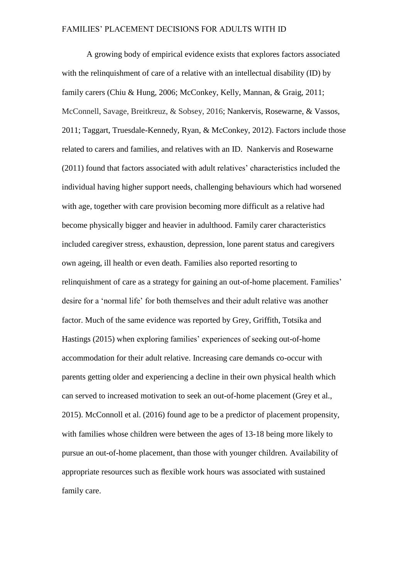A growing body of empirical evidence exists that explores factors associated with the relinquishment of care of a relative with an intellectual disability (ID) by family carers (Chiu & Hung, 2006; McConkey, Kelly, Mannan, & Graig, 2011; McConnell, Savage, Breitkreuz, & Sobsey, 2016; Nankervis, Rosewarne, & Vassos, 2011; Taggart, Truesdale-Kennedy, Ryan, & McConkey, 2012). Factors include those related to carers and families, and relatives with an ID. Nankervis and Rosewarne (2011) found that factors associated with adult relatives' characteristics included the individual having higher support needs, challenging behaviours which had worsened with age, together with care provision becoming more difficult as a relative had become physically bigger and heavier in adulthood. Family carer characteristics included caregiver stress, exhaustion, depression, lone parent status and caregivers own ageing, ill health or even death. Families also reported resorting to relinquishment of care as a strategy for gaining an out-of-home placement. Families' desire for a 'normal life' for both themselves and their adult relative was another factor. Much of the same evidence was reported by Grey, Griffith, Totsika and Hastings (2015) when exploring families' experiences of seeking out-of-home accommodation for their adult relative. Increasing care demands co-occur with parents getting older and experiencing a decline in their own physical health which can served to increased motivation to seek an out-of-home placement (Grey et al., 2015). McConnoll et al. (2016) found age to be a predictor of placement propensity, with families whose children were between the ages of 13-18 being more likely to pursue an out-of-home placement, than those with younger children. Availability of appropriate resources such as flexible work hours was associated with sustained family care.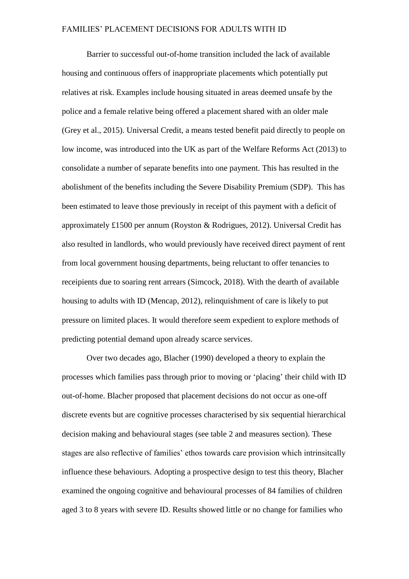Barrier to successful out-of-home transition included the lack of available housing and continuous offers of inappropriate placements which potentially put relatives at risk. Examples include housing situated in areas deemed unsafe by the police and a female relative being offered a placement shared with an older male (Grey et al., 2015). Universal Credit, a means tested benefit paid directly to people on low income, was introduced into the UK as part of the Welfare Reforms Act (2013) to consolidate a number of separate benefits into one payment. This has resulted in the abolishment of the benefits including the Severe Disability Premium (SDP). This has been estimated to leave those previously in receipt of this payment with a deficit of approximately £1500 per annum (Royston & Rodrigues, 2012). Universal Credit has also resulted in landlords, who would previously have received direct payment of rent from local government housing departments, being reluctant to offer tenancies to receipients due to soaring rent arrears (Simcock, 2018). With the dearth of available housing to adults with ID (Mencap, 2012), relinquishment of care is likely to put pressure on limited places. It would therefore seem expedient to explore methods of predicting potential demand upon already scarce services.

Over two decades ago, Blacher (1990) developed a theory to explain the processes which families pass through prior to moving or 'placing' their child with ID out-of-home. Blacher proposed that placement decisions do not occur as one-off discrete events but are cognitive processes characterised by six sequential hierarchical decision making and behavioural stages (see table 2 and measures section). These stages are also reflective of families' ethos towards care provision which intrinsitcally influence these behaviours. Adopting a prospective design to test this theory, Blacher examined the ongoing cognitive and behavioural processes of 84 families of children aged 3 to 8 years with severe ID. Results showed little or no change for families who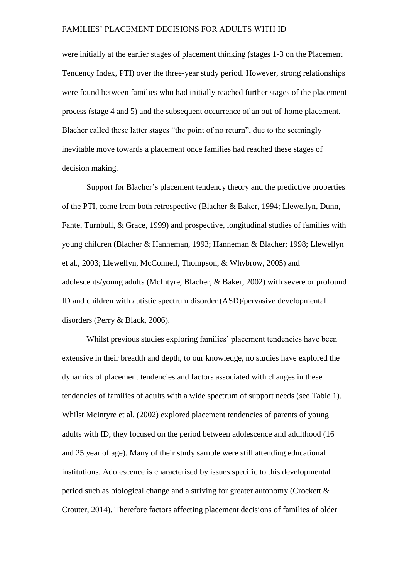were initially at the earlier stages of placement thinking (stages 1-3 on the Placement Tendency Index, PTI) over the three-year study period. However, strong relationships were found between families who had initially reached further stages of the placement process (stage 4 and 5) and the subsequent occurrence of an out-of-home placement. Blacher called these latter stages "the point of no return", due to the seemingly inevitable move towards a placement once families had reached these stages of decision making.

Support for Blacher's placement tendency theory and the predictive properties of the PTI, come from both retrospective (Blacher & Baker, 1994; Llewellyn, Dunn, Fante, Turnbull, & Grace, 1999) and prospective, longitudinal studies of families with young children (Blacher & Hanneman, 1993; Hanneman & Blacher; 1998; Llewellyn et al., 2003; Llewellyn, McConnell, Thompson, & Whybrow, 2005) and adolescents/young adults (McIntyre, Blacher, & Baker, 2002) with severe or profound ID and children with autistic spectrum disorder (ASD)/pervasive developmental disorders (Perry & Black, 2006).

Whilst previous studies exploring families' placement tendencies have been extensive in their breadth and depth, to our knowledge, no studies have explored the dynamics of placement tendencies and factors associated with changes in these tendencies of families of adults with a wide spectrum of support needs (see Table 1). Whilst McIntyre et al. (2002) explored placement tendencies of parents of young adults with ID, they focused on the period between adolescence and adulthood (16 and 25 year of age). Many of their study sample were still attending educational institutions. Adolescence is characterised by issues specific to this developmental period such as biological change and a striving for greater autonomy (Crockett & Crouter, 2014). Therefore factors affecting placement decisions of families of older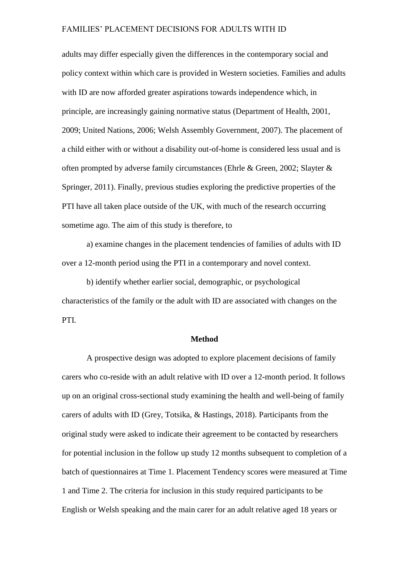adults may differ especially given the differences in the contemporary social and policy context within which care is provided in Western societies. Families and adults with ID are now afforded greater aspirations towards independence which, in principle, are increasingly gaining normative status (Department of Health, 2001, 2009; United Nations, 2006; Welsh Assembly Government, 2007). The placement of a child either with or without a disability out-of-home is considered less usual and is often prompted by adverse family circumstances (Ehrle & Green, 2002; Slayter & Springer, 2011). Finally, previous studies exploring the predictive properties of the PTI have all taken place outside of the UK, with much of the research occurring sometime ago. The aim of this study is therefore, to

a) examine changes in the placement tendencies of families of adults with ID over a 12-month period using the PTI in a contemporary and novel context.

b) identify whether earlier social, demographic, or psychological characteristics of the family or the adult with ID are associated with changes on the PTI.

#### **Method**

A prospective design was adopted to explore placement decisions of family carers who co-reside with an adult relative with ID over a 12-month period. It follows up on an original cross-sectional study examining the health and well-being of family carers of adults with ID (Grey, Totsika, & Hastings, 2018). Participants from the original study were asked to indicate their agreement to be contacted by researchers for potential inclusion in the follow up study 12 months subsequent to completion of a batch of questionnaires at Time 1. Placement Tendency scores were measured at Time 1 and Time 2. The criteria for inclusion in this study required participants to be English or Welsh speaking and the main carer for an adult relative aged 18 years or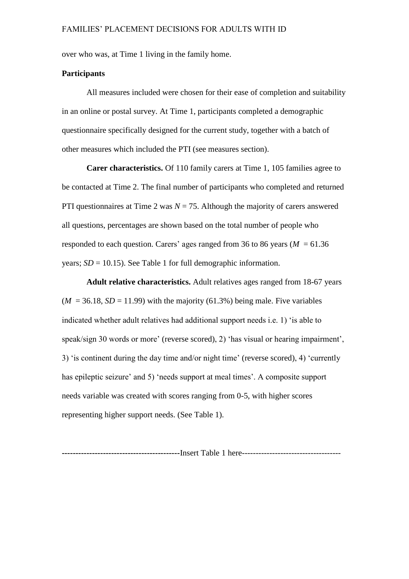over who was, at Time 1 living in the family home.

# **Participants**

All measures included were chosen for their ease of completion and suitability in an online or postal survey. At Time 1, participants completed a demographic questionnaire specifically designed for the current study, together with a batch of other measures which included the PTI (see measures section).

**Carer characteristics.** Of 110 family carers at Time 1, 105 families agree to be contacted at Time 2. The final number of participants who completed and returned PTI questionnaires at Time 2 was  $N = 75$ . Although the majority of carers answered all questions, percentages are shown based on the total number of people who responded to each question. Carers' ages ranged from 36 to 86 years ( $M = 61.36$ ) years;  $SD = 10.15$ ). See Table 1 for full demographic information.

**Adult relative characteristics.** Adult relatives ages ranged from 18-67 years  $(M = 36.18, SD = 11.99)$  with the majority (61.3%) being male. Five variables indicated whether adult relatives had additional support needs i.e. 1) 'is able to speak/sign 30 words or more' (reverse scored), 2) 'has visual or hearing impairment', 3) 'is continent during the day time and/or night time' (reverse scored), 4) 'currently has epileptic seizure' and 5) 'needs support at meal times'. A composite support needs variable was created with scores ranging from 0-5, with higher scores representing higher support needs. (See Table 1).

**-------------------------------------------**Insert Table 1 here------------------------------------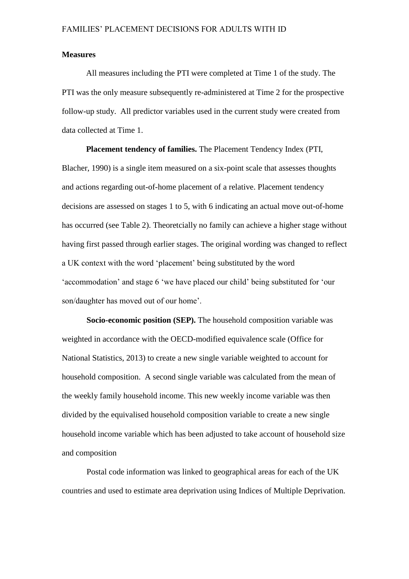#### **Measures**

All measures including the PTI were completed at Time 1 of the study. The PTI was the only measure subsequently re-administered at Time 2 for the prospective follow-up study. All predictor variables used in the current study were created from data collected at Time 1.

**Placement tendency of families.** The Placement Tendency Index (PTI, Blacher, 1990) is a single item measured on a six-point scale that assesses thoughts and actions regarding out-of-home placement of a relative. Placement tendency decisions are assessed on stages 1 to 5, with 6 indicating an actual move out-of-home has occurred (see Table 2). Theoretcially no family can achieve a higher stage without having first passed through earlier stages. The original wording was changed to reflect a UK context with the word 'placement' being substituted by the word 'accommodation' and stage 6 'we have placed our child' being substituted for 'our son/daughter has moved out of our home'.

**Socio-economic position (SEP).** The household composition variable was weighted in accordance with the OECD-modified equivalence scale (Office for National Statistics, 2013) to create a new single variable weighted to account for household composition. A second single variable was calculated from the mean of the weekly family household income. This new weekly income variable was then divided by the equivalised household composition variable to create a new single household income variable which has been adjusted to take account of household size and composition

Postal code information was linked to geographical areas for each of the UK countries and used to estimate area deprivation using Indices of Multiple Deprivation.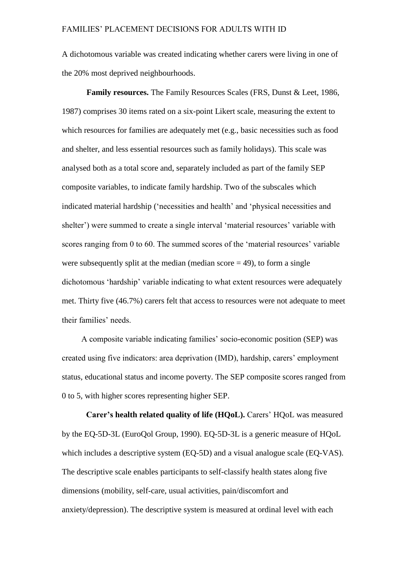A dichotomous variable was created indicating whether carers were living in one of the 20% most deprived neighbourhoods.

**Family resources.** The Family Resources Scales (FRS, Dunst & Leet, 1986, 1987) comprises 30 items rated on a six-point Likert scale, measuring the extent to which resources for families are adequately met (e.g., basic necessities such as food and shelter, and less essential resources such as family holidays). This scale was analysed both as a total score and, separately included as part of the family SEP composite variables, to indicate family hardship. Two of the subscales which indicated material hardship ('necessities and health' and 'physical necessities and shelter') were summed to create a single interval 'material resources' variable with scores ranging from 0 to 60. The summed scores of the 'material resources' variable were subsequently split at the median (median score  $=$  49), to form a single dichotomous 'hardship' variable indicating to what extent resources were adequately met. Thirty five (46.7%) carers felt that access to resources were not adequate to meet their families' needs.

A composite variable indicating families' socio-economic position (SEP) was created using five indicators: area deprivation (IMD), hardship, carers' employment status, educational status and income poverty. The SEP composite scores ranged from 0 to 5, with higher scores representing higher SEP.

**Carer's health related quality of life (HQoL).** Carers' HQoL was measured by the EQ-5D-3L (EuroQol Group, 1990). EQ-5D-3L is a generic measure of HQoL which includes a descriptive system (EQ-5D) and a visual analogue scale (EQ-VAS). The descriptive scale enables participants to self-classify health states along five dimensions (mobility, self-care, usual activities, pain/discomfort and anxiety/depression). The descriptive system is measured at ordinal level with each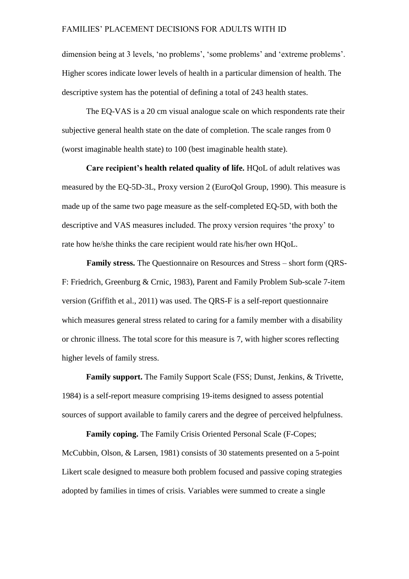dimension being at 3 levels, 'no problems', 'some problems' and 'extreme problems'. Higher scores indicate lower levels of health in a particular dimension of health. The descriptive system has the potential of defining a total of 243 health states.

The EQ-VAS is a 20 cm visual analogue scale on which respondents rate their subjective general health state on the date of completion. The scale ranges from 0 (worst imaginable health state) to 100 (best imaginable health state).

**Care recipient's health related quality of life.** HQoL of adult relatives was measured by the EQ-5D-3L, Proxy version 2 (EuroQol Group, 1990). This measure is made up of the same two page measure as the self-completed EQ-5D, with both the descriptive and VAS measures included. The proxy version requires 'the proxy' to rate how he/she thinks the care recipient would rate his/her own HQoL.

**Family stress.** The Questionnaire on Resources and Stress – short form (QRS-F: Friedrich, Greenburg & Crnic, 1983), Parent and Family Problem Sub-scale 7-item version (Griffith et al., 2011) was used. The QRS-F is a self-report questionnaire which measures general stress related to caring for a family member with a disability or chronic illness. The total score for this measure is 7, with higher scores reflecting higher levels of family stress.

**Family support.** The Family Support Scale (FSS; Dunst, Jenkins, & Trivette, 1984) is a self-report measure comprising 19-items designed to assess potential sources of support available to family carers and the degree of perceived helpfulness.

**Family coping.** The Family Crisis Oriented Personal Scale (F-Copes; McCubbin, Olson, & Larsen, 1981) consists of 30 statements presented on a 5-point Likert scale designed to measure both problem focused and passive coping strategies adopted by families in times of crisis. Variables were summed to create a single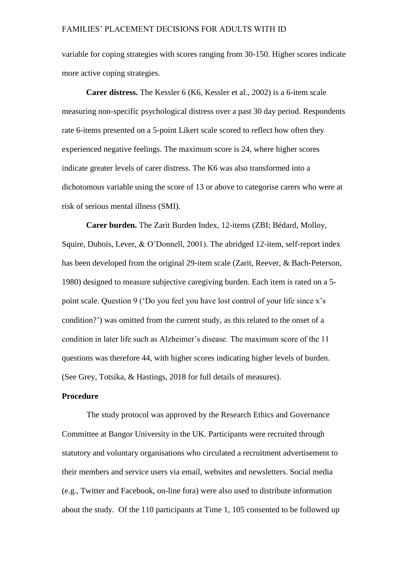variable for coping strategies with scores ranging from 30-150. Higher scores indicate more active coping strategies.

**Carer distress.** The Kessler 6 (K6, Kessler et al., 2002) is a 6-item scale measuring non-specific psychological distress over a past 30 day period. Respondents rate 6-items presented on a 5-point Likert scale scored to reflect how often they experienced negative feelings. The maximum score is 24, where higher scores indicate greater levels of carer distress. The K6 was also transformed into a dichotomous variable using the score of 13 or above to categorise carers who were at risk of serious mental illness (SMI).

**Carer burden.** The Zarit Burden Index, 12-items (ZBI; Bédard, Molloy, Squire, Dubois, Lever, & O'Donnell, 2001). The abridged 12-item, self-report index has been developed from the original 29-item scale (Zarit, Reever, & Bach-Peterson, 1980) designed to measure subjective caregiving burden. Each item is rated on a 5 point scale. Question 9 ('Do you feel you have lost control of your life since x's condition?') was omitted from the current study, as this related to the onset of a condition in later life such as Alzheimer's disease. The maximum score of the 11 questions was therefore 44, with higher scores indicating higher levels of burden. (See Grey, Totsika, & Hastings, 2018 for full details of measures).

# **Procedure**

The study protocol was approved by the Research Ethics and Governance Committee at Bangor University in the UK. Participants were recruited through statutory and voluntary organisations who circulated a recruitment advertisement to their members and service users via email, websites and newsletters. Social media (e.g., Twitter and Facebook, on-line fora) were also used to distribute information about the study. Of the 110 participants at Time 1, 105 consented to be followed up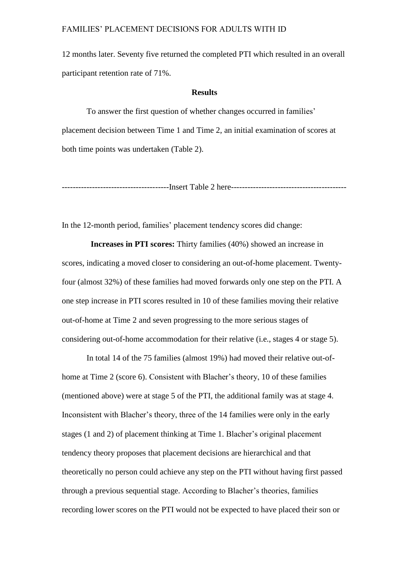12 months later. Seventy five returned the completed PTI which resulted in an overall participant retention rate of 71%.

## **Results**

To answer the first question of whether changes occurred in families' placement decision between Time 1 and Time 2, an initial examination of scores at both time points was undertaken (Table 2).

---------------------------------------Insert Table 2 here------------------------------------------

In the 12-month period, families' placement tendency scores did change:

 **Increases in PTI scores:** Thirty families (40%) showed an increase in scores, indicating a moved closer to considering an out-of-home placement. Twentyfour (almost 32%) of these families had moved forwards only one step on the PTI. A one step increase in PTI scores resulted in 10 of these families moving their relative out-of-home at Time 2 and seven progressing to the more serious stages of considering out-of-home accommodation for their relative (i.e., stages 4 or stage 5).

In total 14 of the 75 families (almost 19%) had moved their relative out-ofhome at Time 2 (score 6). Consistent with Blacher's theory, 10 of these families (mentioned above) were at stage 5 of the PTI, the additional family was at stage 4. Inconsistent with Blacher's theory, three of the 14 families were only in the early stages (1 and 2) of placement thinking at Time 1. Blacher's original placement tendency theory proposes that placement decisions are hierarchical and that theoretically no person could achieve any step on the PTI without having first passed through a previous sequential stage. According to Blacher's theories, families recording lower scores on the PTI would not be expected to have placed their son or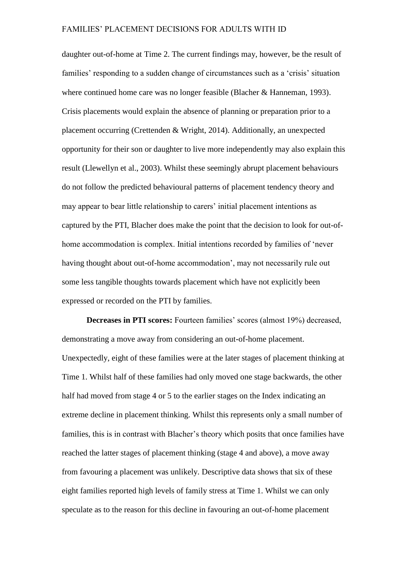daughter out-of-home at Time 2. The current findings may, however, be the result of families' responding to a sudden change of circumstances such as a 'crisis' situation where continued home care was no longer feasible (Blacher & Hanneman, 1993). Crisis placements would explain the absence of planning or preparation prior to a placement occurring (Crettenden & Wright, 2014). Additionally, an unexpected opportunity for their son or daughter to live more independently may also explain this result (Llewellyn et al., 2003). Whilst these seemingly abrupt placement behaviours do not follow the predicted behavioural patterns of placement tendency theory and may appear to bear little relationship to carers' initial placement intentions as captured by the PTI, Blacher does make the point that the decision to look for out-ofhome accommodation is complex. Initial intentions recorded by families of 'never having thought about out-of-home accommodation', may not necessarily rule out some less tangible thoughts towards placement which have not explicitly been expressed or recorded on the PTI by families.

**Decreases in PTI scores:** Fourteen families' scores (almost 19%) decreased, demonstrating a move away from considering an out-of-home placement. Unexpectedly, eight of these families were at the later stages of placement thinking at Time 1. Whilst half of these families had only moved one stage backwards, the other half had moved from stage 4 or 5 to the earlier stages on the Index indicating an extreme decline in placement thinking. Whilst this represents only a small number of families, this is in contrast with Blacher's theory which posits that once families have reached the latter stages of placement thinking (stage 4 and above), a move away from favouring a placement was unlikely. Descriptive data shows that six of these eight families reported high levels of family stress at Time 1. Whilst we can only speculate as to the reason for this decline in favouring an out-of-home placement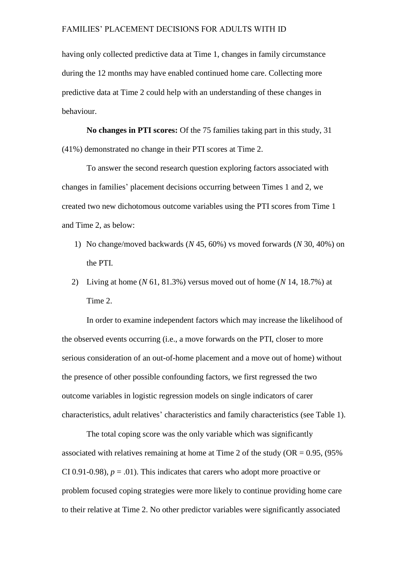having only collected predictive data at Time 1, changes in family circumstance during the 12 months may have enabled continued home care. Collecting more predictive data at Time 2 could help with an understanding of these changes in behaviour.

**No changes in PTI scores:** Of the 75 families taking part in this study, 31 (41%) demonstrated no change in their PTI scores at Time 2.

To answer the second research question exploring factors associated with changes in families' placement decisions occurring between Times 1 and 2, we created two new dichotomous outcome variables using the PTI scores from Time 1 and Time 2, as below:

- 1) No change/moved backwards (*N* 45, 60%) vs moved forwards (*N* 30, 40%) on the PTI.
- 2) Living at home (*N* 61, 81.3%) versus moved out of home (*N* 14, 18.7%) at Time 2.

In order to examine independent factors which may increase the likelihood of the observed events occurring (i.e., a move forwards on the PTI, closer to more serious consideration of an out-of-home placement and a move out of home) without the presence of other possible confounding factors, we first regressed the two outcome variables in logistic regression models on single indicators of carer characteristics, adult relatives' characteristics and family characteristics (see Table 1).

The total coping score was the only variable which was significantly associated with relatives remaining at home at Time 2 of the study ( $OR = 0.95$ , ( $95\%$ ) CI 0.91-0.98),  $p = .01$ ). This indicates that carers who adopt more proactive or problem focused coping strategies were more likely to continue providing home care to their relative at Time 2. No other predictor variables were significantly associated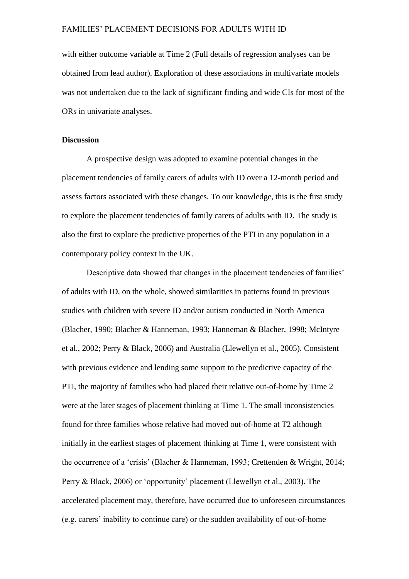with either outcome variable at Time 2 (Full details of regression analyses can be obtained from lead author). Exploration of these associations in multivariate models was not undertaken due to the lack of significant finding and wide CIs for most of the ORs in univariate analyses.

## **Discussion**

A prospective design was adopted to examine potential changes in the placement tendencies of family carers of adults with ID over a 12-month period and assess factors associated with these changes. To our knowledge, this is the first study to explore the placement tendencies of family carers of adults with ID. The study is also the first to explore the predictive properties of the PTI in any population in a contemporary policy context in the UK.

Descriptive data showed that changes in the placement tendencies of families' of adults with ID, on the whole, showed similarities in patterns found in previous studies with children with severe ID and/or autism conducted in North America (Blacher, 1990; Blacher & Hanneman, 1993; Hanneman & Blacher, 1998; McIntyre et al., 2002; Perry & Black, 2006) and Australia (Llewellyn et al., 2005). Consistent with previous evidence and lending some support to the predictive capacity of the PTI, the majority of families who had placed their relative out-of-home by Time 2 were at the later stages of placement thinking at Time 1. The small inconsistencies found for three families whose relative had moved out-of-home at T2 although initially in the earliest stages of placement thinking at Time 1, were consistent with the occurrence of a 'crisis' (Blacher & Hanneman, 1993; Crettenden & Wright, 2014; Perry & Black, 2006) or 'opportunity' placement (Llewellyn et al., 2003). The accelerated placement may, therefore, have occurred due to unforeseen circumstances (e.g. carers' inability to continue care) or the sudden availability of out-of-home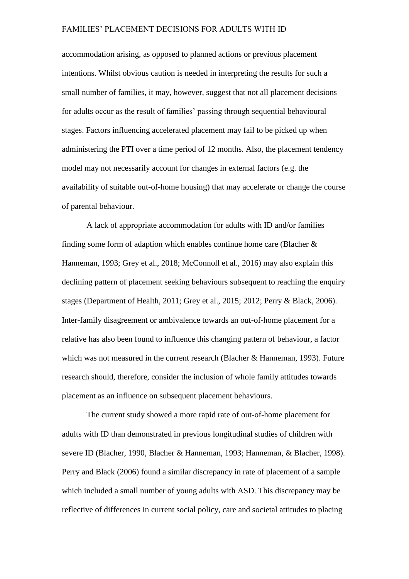accommodation arising, as opposed to planned actions or previous placement intentions. Whilst obvious caution is needed in interpreting the results for such a small number of families, it may, however, suggest that not all placement decisions for adults occur as the result of families' passing through sequential behavioural stages. Factors influencing accelerated placement may fail to be picked up when administering the PTI over a time period of 12 months. Also, the placement tendency model may not necessarily account for changes in external factors (e.g. the availability of suitable out-of-home housing) that may accelerate or change the course of parental behaviour.

A lack of appropriate accommodation for adults with ID and/or families finding some form of adaption which enables continue home care (Blacher & Hanneman, 1993; Grey et al., 2018; McConnoll et al., 2016) may also explain this declining pattern of placement seeking behaviours subsequent to reaching the enquiry stages (Department of Health, 2011; Grey et al., 2015; 2012; Perry & Black, 2006). Inter-family disagreement or ambivalence towards an out-of-home placement for a relative has also been found to influence this changing pattern of behaviour, a factor which was not measured in the current research (Blacher & Hanneman, 1993). Future research should, therefore, consider the inclusion of whole family attitudes towards placement as an influence on subsequent placement behaviours.

The current study showed a more rapid rate of out-of-home placement for adults with ID than demonstrated in previous longitudinal studies of children with severe ID (Blacher, 1990, Blacher & Hanneman, 1993; Hanneman, & Blacher, 1998). Perry and Black (2006) found a similar discrepancy in rate of placement of a sample which included a small number of young adults with ASD. This discrepancy may be reflective of differences in current social policy, care and societal attitudes to placing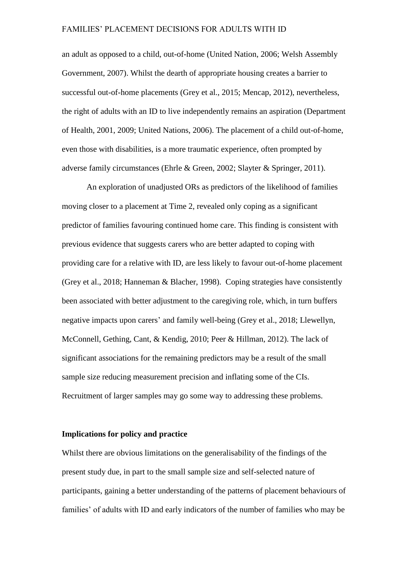an adult as opposed to a child, out-of-home (United Nation, 2006; Welsh Assembly Government, 2007). Whilst the dearth of appropriate housing creates a barrier to successful out-of-home placements (Grey et al., 2015; Mencap, 2012), nevertheless, the right of adults with an ID to live independently remains an aspiration (Department of Health, 2001, 2009; United Nations, 2006). The placement of a child out-of-home, even those with disabilities, is a more traumatic experience, often prompted by adverse family circumstances (Ehrle & Green, 2002; Slayter & Springer, 2011).

An exploration of unadjusted ORs as predictors of the likelihood of families moving closer to a placement at Time 2, revealed only coping as a significant predictor of families favouring continued home care. This finding is consistent with previous evidence that suggests carers who are better adapted to coping with providing care for a relative with ID, are less likely to favour out-of-home placement (Grey et al., 2018; Hanneman & Blacher, 1998). Coping strategies have consistently been associated with better adjustment to the caregiving role, which, in turn buffers negative impacts upon carers' and family well-being (Grey et al., 2018; Llewellyn, McConnell, Gething, Cant, & Kendig, 2010; Peer & Hillman, 2012). The lack of significant associations for the remaining predictors may be a result of the small sample size reducing measurement precision and inflating some of the CIs. Recruitment of larger samples may go some way to addressing these problems.

#### **Implications for policy and practice**

Whilst there are obvious limitations on the generalisability of the findings of the present study due, in part to the small sample size and self-selected nature of participants, gaining a better understanding of the patterns of placement behaviours of families' of adults with ID and early indicators of the number of families who may be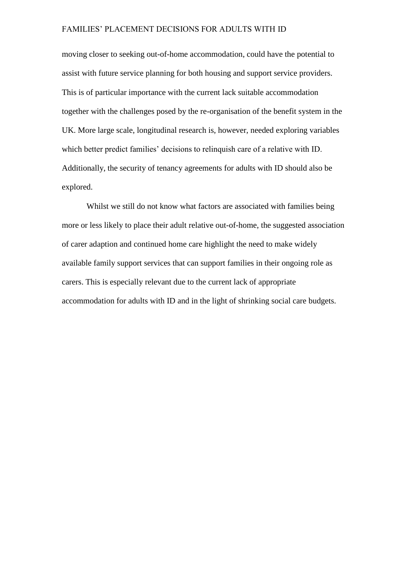moving closer to seeking out-of-home accommodation, could have the potential to assist with future service planning for both housing and support service providers. This is of particular importance with the current lack suitable accommodation together with the challenges posed by the re-organisation of the benefit system in the UK. More large scale, longitudinal research is, however, needed exploring variables which better predict families' decisions to relinquish care of a relative with ID. Additionally, the security of tenancy agreements for adults with ID should also be explored.

Whilst we still do not know what factors are associated with families being more or less likely to place their adult relative out-of-home, the suggested association of carer adaption and continued home care highlight the need to make widely available family support services that can support families in their ongoing role as carers. This is especially relevant due to the current lack of appropriate accommodation for adults with ID and in the light of shrinking social care budgets.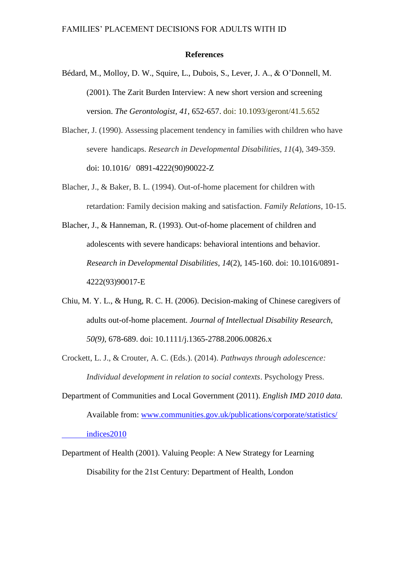#### **References**

- Bédard, M., Molloy, D. W., Squire, L., Dubois, S., Lever, J. A., & O'Donnell, M. (2001). The Zarit Burden Interview: A new short version and screening version. *The Gerontologist, 41*, 652-657. doi: 10.1093/geront/41.5.652
- Blacher, J. (1990). Assessing placement tendency in families with children who have severe handicaps. *Research in Developmental Disabilities*, *11*(4), 349-359. doi: 10.1016/ 0891-4222(90)90022-Z
- Blacher, J., & Baker, B. L. (1994). Out-of-home placement for children with retardation: Family decision making and satisfaction. *Family Relations*, 10-15.
- Blacher, J., & Hanneman, R. (1993). Out-of-home placement of children and adolescents with severe handicaps: behavioral intentions and behavior. *Research in Developmental Disabilities*, *14*(2), 145-160. doi: [10.1016/0891-](http://dx.doi.org/10.1016/0891-4222(93)90017-E) [4222\(93\)90017-E](http://dx.doi.org/10.1016/0891-4222(93)90017-E)
- Chiu, M. Y. L., & Hung, R. C. H. (2006). Decision-making of Chinese caregivers of adults out-of-home placement. *Journal of Intellectual Disability Research, 50(9)*, 678-689. doi: 10.1111/j.1365-2788.2006.00826.x
- Crockett, L. J., & Crouter, A. C. (Eds.). (2014). *Pathways through adolescence: Individual development in relation to social contexts*. Psychology Press.
- Department of Communities and Local Government (2011). *English IMD 2010 data.* Available from: [www.communities.gov.uk/publications/corporate/statistics/](http://www.communities.gov.uk/publications/corporate/statistics/%20%09indices2010)  [indices2010](http://www.communities.gov.uk/publications/corporate/statistics/%20%09indices2010)
- Department of Health (2001). Valuing People: A New Strategy for Learning Disability for the 21st Century: Department of Health, London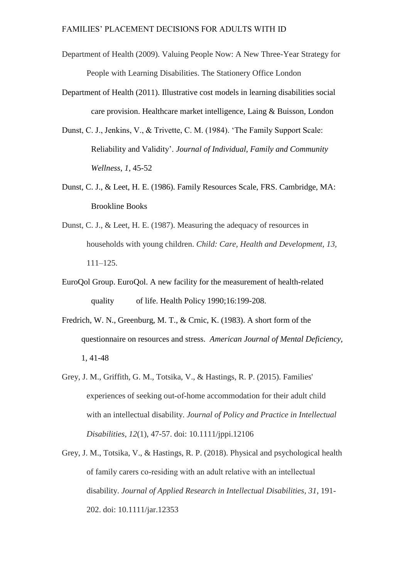- Department of Health (2009). Valuing People Now: A New Three-Year Strategy for People with Learning Disabilities. The Stationery Office London
- Department of Health (2011). Illustrative cost models in learning disabilities social care provision. Healthcare market intelligence, Laing & Buisson, London
- Dunst, C. J., Jenkins, V., & Trivette, C. M. (1984). 'The Family Support Scale: Reliability and Validity'. *Journal of Individual, Family and Community Wellness*, *1*, 45-52
- Dunst, C. J., & Leet, H. E. (1986). Family Resources Scale, FRS. Cambridge, MA: Brookline Books
- Dunst, C. J., & Leet, H. E. (1987). Measuring the adequacy of resources in households with young children. *Child: Care, Health and Development, 13,*  111–125.
- EuroQol Group. EuroQol. A new facility for the measurement of health-related quality of life. Health Policy 1990;16:199-208.
- Fredrich, W. N., Greenburg, M. T., & Crnic, K. (1983). A short form of the questionnaire on resources and stress. *American Journal of Mental Deficiency,*  1, 41-48
- Grey, J. M., Griffith, G. M., Totsika, V., & Hastings, R. P. (2015). Families' experiences of seeking out‐of‐home accommodation for their adult child with an intellectual disability. *Journal of Policy and Practice in Intellectual Disabilities*, *12*(1), 47-57. doi: 10.1111/jppi.12106
- Grey, J. M., Totsika, V., & Hastings, R. P. (2018). Physical and psychological health of family carers co‐residing with an adult relative with an intellectual disability. *Journal of Applied Research in Intellectual Disabilities*, *31*, 191- 202. doi: 10.1111/jar.12353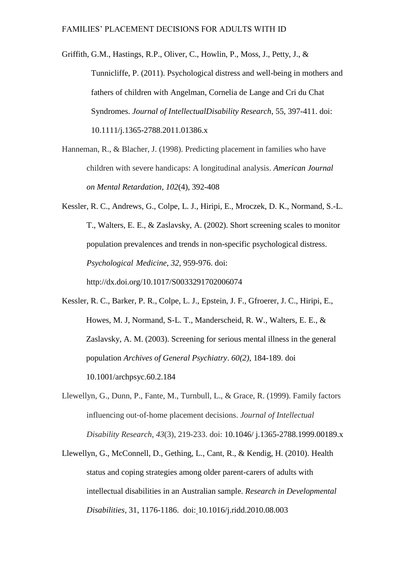Griffith, G.M., Hastings, R.P., Oliver, C., Howlin, P., Moss, J., Petty, J., & Tunnicliffe, P. (2011). Psychological distress and well-being in mothers and fathers of children with Angelman, Cornelia de Lange and Cri du Chat Syndromes. *Journal of IntellectualDisability Research*, 55, 397-411. doi: 10.1111/j.1365-2788.2011.01386.x

Hanneman, R., & Blacher, J. (1998). Predicting placement in families who have children with severe handicaps: A longitudinal analysis. *American Journal on Mental Retardation*, *102*(4), 392-408

Kessler, R. C., Andrews, G., Colpe, L. J., Hiripi, E., Mroczek, D. K., Normand, S.-L. T., Walters, E. E., & Zaslavsky, A. (2002). Short screening scales to monitor population prevalences and trends in non-specific psychological distress. *Psychological Medicine, 32*, 959-976. doi: <http://dx.doi.org/10.1017/S0033291702006074>

- Kessler, R. C., Barker, P. R., Colpe, L. J., Epstein, J. F., Gfroerer, J. C., Hiripi, E., Howes, M. J, Normand, S-L. T., Manderscheid, R. W., Walters, E. E., & Zaslavsky, A. M. (2003). Screening for serious mental illness in the general population *Archives of General Psychiatry*. *60(2),* 184-189. doi 10.1001/archpsyc.60.2.184
- Llewellyn, G., Dunn, P., Fante, M., Turnbull, L., & Grace, R. (1999). Family factors influencing out‐of‐home placement decisions. *Journal of Intellectual Disability Research*, *43*(3), 219-233. doi: 10.1046/ j.1365-2788.1999.00189.x
- Llewellyn, G., McConnell, D., Gething, L., Cant, R., & Kendig, H. (2010). Health status and coping strategies among older parent-carers of adults with intellectual disabilities in an Australian sample. *Research in Developmental Disabilities*, 31, 1176-1186. doi: 10.1016/j.ridd.2010.08.003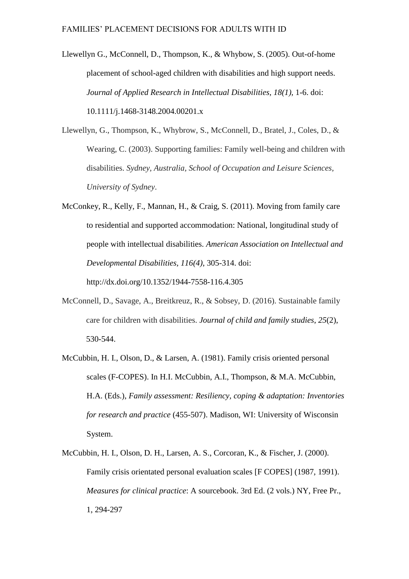Llewellyn G., McConnell, D., Thompson, K., & Whybow, S. (2005). Out-of-home placement of school-aged children with disabilities and high support needs. *Journal of Applied Research in Intellectual Disabilities, 18(1),* 1-6. doi: 10.1111/j.1468-3148.2004.00201.x

Llewellyn, G., Thompson, K., Whybrow, S., McConnell, D., Bratel, J., Coles, D., & Wearing, C. (2003). Supporting families: Family well-being and children with disabilities. *Sydney, Australia, School of Occupation and Leisure Sciences, University of Sydney*.

- McConkey, R., Kelly, F., Mannan, H., & Craig, S. (2011). Moving from family care to residential and supported accommodation: National, longitudinal study of people with intellectual disabilities. *American Association on Intellectual and Developmental Disabilities, 116(4)*, 305-314. doi: <http://dx.doi.org/10.1352/1944-7558-116.4.305>
- McConnell, D., Savage, A., Breitkreuz, R., & Sobsey, D. (2016). Sustainable family care for children with disabilities. *Journal of child and family studies*, *25*(2), 530-544.
- McCubbin, H. I., Olson, D., & Larsen, A. (1981). Family crisis oriented personal scales (F-COPES). In H.I. McCubbin, A.I., Thompson, & M.A. McCubbin, H.A. (Eds.), *Family assessment: Resiliency, coping & adaptation: Inventories for research and practice* (455-507). Madison, WI: University of Wisconsin System.
- McCubbin, H. I., Olson, D. H., Larsen, A. S., Corcoran, K., & Fischer, J. (2000). Family crisis orientated personal evaluation scales [F COPES] (1987, 1991). *Measures for clinical practice*: A sourcebook. 3rd Ed. (2 vols.) NY, Free Pr., 1, 294-297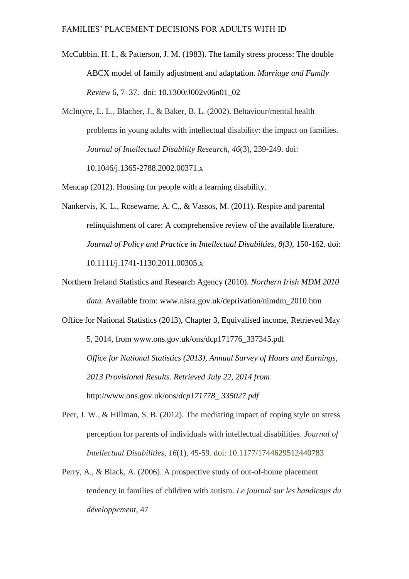- McCubbin, H. I., & Patterson, J. M. (1983). The family stress process: The double ABCX model of family adjustment and adaptation. *Marriage and Family Review* 6, 7–37. doi: 10.1300/J002v06n01\_02
- McIntyre, L. L., Blacher, J., & Baker, B. L. (2002). Behaviour/mental health problems in young adults with intellectual disability: the impact on families. *Journal of Intellectual Disability Research*, *46*(3), 239-249. doi: 10.1046/j.1365-2788.2002.00371.x
- Mencap (2012). Housing for people with a learning disability.
- Nankervis, K. L., Rosewarne, A. C., & Vassos, M. (2011). Respite and parental relinquishment of care: A comprehensive review of the available literature. *Journal of Policy and Practice in Intellectual Disabilties, 8(3)*, 150-162. doi: 10.1111/j.1741-1130.2011.00305.x
- Northern Ireland Statistics and Research Agency (2010). *Northern Irish MDM 2010 data.* Available from: [www.nisra.gov.uk/deprivation/nimdm\\_2010.htm](http://www.nisra.gov.uk/deprivation/nimdm_2010.htm)
- Office for National Statistics (2013), Chapter 3, Equivalised income, Retrieved May 5, 2014, from [www.ons.gov.uk/ons/dcp171776\\_337345.pdf](http://www.ons.gov.uk/ons/dcp171776_337345.pdf) *Office for National Statistics (2013), Annual Survey of Hours and Earnings, 2013 Provisional Results. Retrieved July 22, 2014 from*  <http://www.ons.gov.uk/ons/>*dcp171778\_ 335027.pdf*
- Peer, J. W., & Hillman, S. B. (2012). The mediating impact of coping style on stress perception for parents of individuals with intellectual disabilities. *Journal of Intellectual Disabilities*, *16*(1), 45-59. doi: 10.1177/1744629512440783
- Perry, A., & Black, A. (2006). A prospective study of out-of-home placement tendency in families of children with autism. *Le journal sur les handicaps du développement*, 47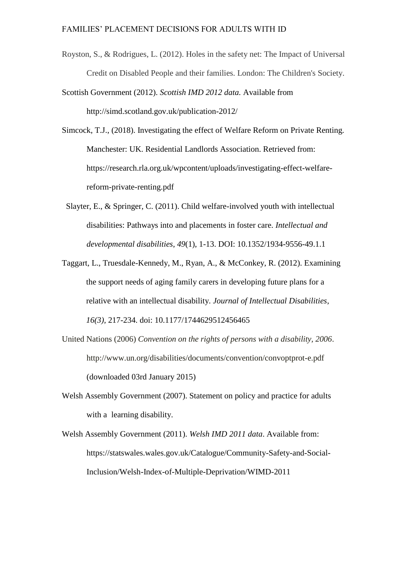- Royston, S., & Rodrigues, L. (2012). Holes in the safety net: The Impact of Universal Credit on Disabled People and their families. London: The Children's Society.
- Scottish Government (2012). *Scottish IMD 2012 data.* Available from <http://simd.scotland.gov.uk/publication-2012/>
- Simcock, T.J., (2018). Investigating the effect of Welfare Reform on Private Renting. Manchester: UK. Residential Landlords Association. Retrieved from: [https://research.rla.org.uk/wpcontent/uploads/investigating-effect-welfare](https://research.rla.org.uk/wpcontent/uploads/investigating-effect-welfare-)reform-private-renting.pdf
	- Slayter, E., & Springer, C. (2011). Child welfare-involved youth with intellectual disabilities: Pathways into and placements in foster care. *Intellectual and developmental disabilities*, *49*(1), 1-13. DOI: 10.1352/1934-9556-49.1.1
- Taggart, L., Truesdale-Kennedy, M., Ryan, A., & McConkey, R. (2012). Examining the support needs of aging family carers in developing future plans for a relative with an intellectual disability. *Journal of Intellectual Disabilities*, *16(3),* 217-234. doi: 10.1177/1744629512456465
- United Nations (2006) *Convention on the rights of persons with a disability, 2006*. <http://www.un.org/disabilities/documents/convention/convoptprot-e.pdf> (downloaded 03rd January 2015)
- Welsh Assembly Government (2007). Statement on policy and practice for adults with a learning disability.
- Welsh Assembly Government (2011). *Welsh IMD 2011 data*. Available from: <https://statswales.wales.gov.uk/Catalogue/Community-Safety-and-Social->Inclusion/Welsh-Index-of-Multiple-Deprivation/WIMD-2011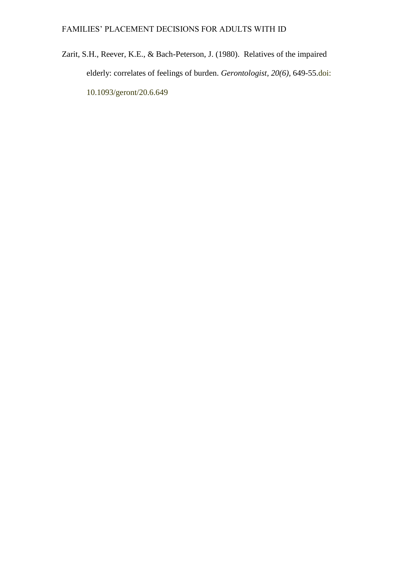Zarit, S.H., Reever, K.E., & Bach-Peterson, J. (1980). Relatives of the impaired elderly: correlates of feelings of burden. *Gerontologist, 20(6),* 649-55.doi: 10.1093/geront/20.6.649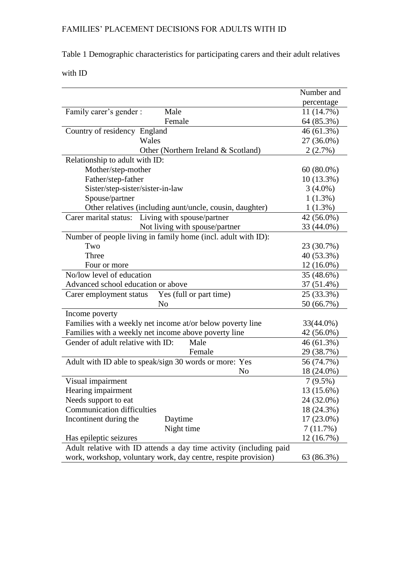# Table 1 Demographic characteristics for participating carers and their adult relatives

with ID

|                                                                    | Number and   |
|--------------------------------------------------------------------|--------------|
|                                                                    | percentage   |
| Family carer's gender :<br>Male                                    | 11 (14.7%)   |
| Female                                                             | 64 (85.3%)   |
| Country of residency England                                       | 46 (61.3%)   |
| Wales                                                              | 27 (36.0%)   |
| Other (Northern Ireland & Scotland)                                | 2(2.7%)      |
| Relationship to adult with ID:                                     |              |
| Mother/step-mother                                                 | $60(80.0\%)$ |
| Father/step-father                                                 | $10(13.3\%)$ |
| Sister/step-sister/sister-in-law                                   | $3(4.0\%)$   |
| Spouse/partner                                                     | $1(1.3\%)$   |
| Other relatives (including aunt/uncle, cousin, daughter)           | 1(1.3%)      |
| Living with spouse/partner<br>Carer marital status:                | 42 (56.0%)   |
| Not living with spouse/partner                                     | 33 (44.0%)   |
| Number of people living in family home (incl. adult with ID):      |              |
| Two                                                                | 23 (30.7%)   |
| Three                                                              | 40 (53.3%)   |
| Four or more                                                       | 12 (16.0%)   |
| No/low level of education                                          | 35 (48.6%)   |
| Advanced school education or above                                 | 37 (51.4%)   |
| Yes (full or part time)<br>Carer employment status                 | 25 (33.3%)   |
| N <sub>o</sub>                                                     | 50 (66.7%)   |
| Income poverty                                                     |              |
| Families with a weekly net income at/or below poverty line         | 33(44.0%)    |
| Families with a weekly net income above poverty line               | 42 (56.0%)   |
| Gender of adult relative with ID:<br>Male                          | 46 (61.3%)   |
| Female                                                             | 29 (38.7%)   |
| Adult with ID able to speak/sign 30 words or more: Yes             | 56 (74.7%)   |
| N <sub>o</sub>                                                     | 18 (24.0%)   |
| Visual impairment                                                  | $7(9.5\%)$   |
| Hearing impairment                                                 | 13 (15.6%)   |
| Needs support to eat                                               | 24 (32.0%)   |
| <b>Communication difficulties</b>                                  | 18 (24.3%)   |
| Incontinent during the<br>Daytime                                  | 17 (23.0%)   |
| Night time                                                         | 7(11.7%)     |
| Has epileptic seizures                                             | 12 (16.7%)   |
| Adult relative with ID attends a day time activity (including paid |              |
| work, workshop, voluntary work, day centre, respite provision)     | 63 (86.3%)   |